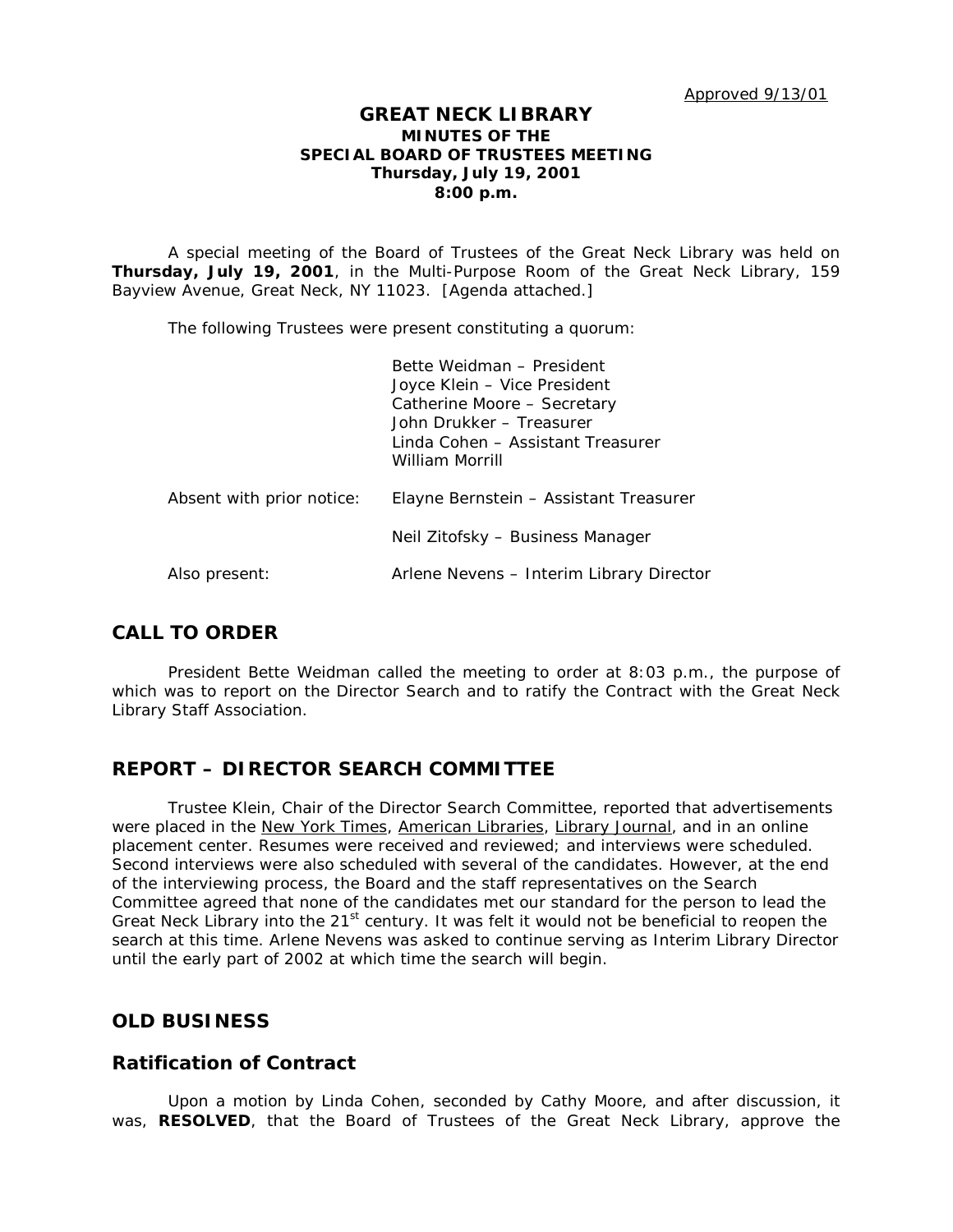#### **GREAT NECK LIBRARY MINUTES OF THE SPECIAL BOARD OF TRUSTEES MEETING Thursday, July 19, 2001 8:00 p.m.**

A special meeting of the Board of Trustees of the Great Neck Library was held on **Thursday, July 19, 2001**, in the Multi-Purpose Room of the Great Neck Library, 159 Bayview Avenue, Great Neck, NY 11023. [Agenda attached.]

The following Trustees were present constituting a quorum:

|                           | Bette Weidman - President<br>Joyce Klein – Vice President<br>Catherine Moore - Secretary<br>John Drukker - Treasurer<br>Linda Cohen - Assistant Treasurer<br>William Morrill |
|---------------------------|------------------------------------------------------------------------------------------------------------------------------------------------------------------------------|
| Absent with prior notice: | Elayne Bernstein – Assistant Treasurer                                                                                                                                       |
|                           | Neil Zitofsky - Business Manager                                                                                                                                             |
| Also present:             | Arlene Nevens - Interim Library Director                                                                                                                                     |

## **CALL TO ORDER**

President Bette Weidman called the meeting to order at 8:03 p.m., the purpose of which was to report on the Director Search and to ratify the Contract with the Great Neck Library Staff Association.

### **REPORT – DIRECTOR SEARCH COMMITTEE**

Trustee Klein, Chair of the Director Search Committee, reported that advertisements were placed in the New York Times, American Libraries, Library Journal, and in an online placement center. Resumes were received and reviewed; and interviews were scheduled. Second interviews were also scheduled with several of the candidates. However, at the end of the interviewing process, the Board and the staff representatives on the Search Committee agreed that none of the candidates met our standard for the person to lead the Great Neck Library into the 21<sup>st</sup> century. It was felt it would not be beneficial to reopen the search at this time. Arlene Nevens was asked to continue serving as Interim Library Director until the early part of 2002 at which time the search will begin.

### **OLD BUSINESS**

### **Ratification of Contract**

Upon a motion by Linda Cohen, seconded by Cathy Moore, and after discussion, it was, **RESOLVED**, that the Board of Trustees of the Great Neck Library, approve the